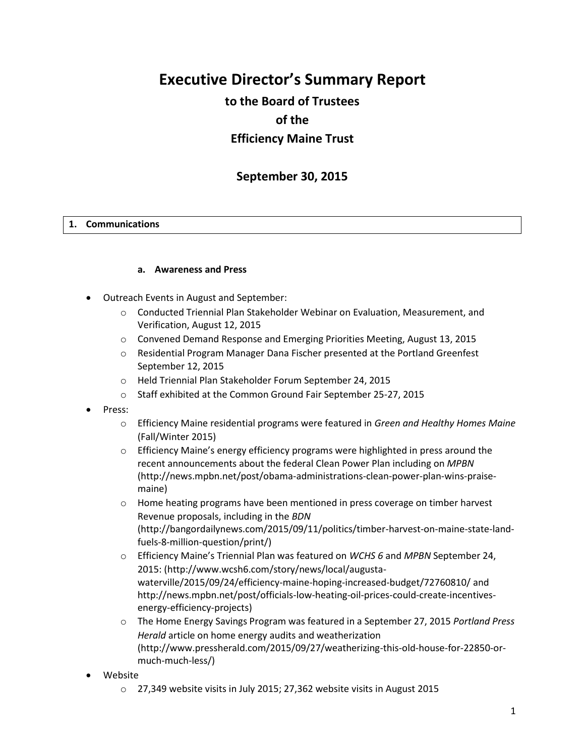# **Executive Director's Summary Report**

# **to the Board of Trustees of the Efficiency Maine Trust**

# **September 30, 2015**

#### **1. Communications**

#### **a. Awareness and Press**

- Outreach Events in August and September:
	- o Conducted Triennial Plan Stakeholder Webinar on Evaluation, Measurement, and Verification, August 12, 2015
	- o Convened Demand Response and Emerging Priorities Meeting, August 13, 2015
	- o Residential Program Manager Dana Fischer presented at the Portland Greenfest September 12, 2015
	- o Held Triennial Plan Stakeholder Forum September 24, 2015
	- o Staff exhibited at the Common Ground Fair September 25-27, 2015
- Press:
	- o Efficiency Maine residential programs were featured in *Green and Healthy Homes Maine* (Fall/Winter 2015)
	- $\circ$  Efficiency Maine's energy efficiency programs were highlighted in press around the recent announcements about the federal Clean Power Plan including on *MPBN* (http://news.mpbn.net/post/obama-administrations-clean-power-plan-wins-praisemaine)
	- o Home heating programs have been mentioned in press coverage on timber harvest Revenue proposals, including in the *BDN* (http://bangordailynews.com/2015/09/11/politics/timber-harvest-on-maine-state-landfuels-8-million-question/print/)
	- o Efficiency Maine's Triennial Plan was featured on *WCHS 6* and *MPBN* September 24, 2015: (http://www.wcsh6.com/story/news/local/augustawaterville/2015/09/24/efficiency-maine-hoping-increased-budget/72760810/ and http://news.mpbn.net/post/officials-low-heating-oil-prices-could-create-incentivesenergy-efficiency-projects)
	- o The Home Energy Savings Program was featured in a September 27, 2015 *Portland Press Herald* article on home energy audits and weatherization (http://www.pressherald.com/2015/09/27/weatherizing-this-old-house-for-22850-ormuch-much-less/)
- Website
	- o 27,349 website visits in July 2015; 27,362 website visits in August 2015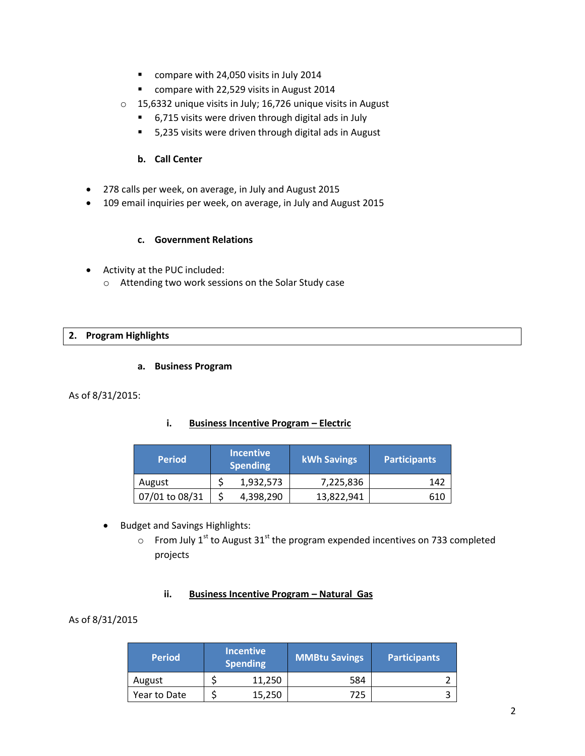- compare with 24,050 visits in July 2014
- **•** compare with 22,529 visits in August 2014
- o 15,6332 unique visits in July; 16,726 unique visits in August
	- 6,715 visits were driven through digital ads in July
	- 5,235 visits were driven through digital ads in August

#### **b. Call Center**

- 278 calls per week, on average, in July and August 2015
- 109 email inquiries per week, on average, in July and August 2015

#### **c. Government Relations**

- Activity at the PUC included:
	- o Attending two work sessions on the Solar Study case

#### **2. Program Highlights**

#### **a. Business Program**

#### As of 8/31/2015:

#### **i. Business Incentive Program – Electric**

| <b>Period</b>  | Incentive<br><b>Spending</b> | <b>kWh Savings</b> | <b>Participants</b> |
|----------------|------------------------------|--------------------|---------------------|
| August         | 1,932,573                    | 7,225,836          | 142                 |
| 07/01 to 08/31 | 4,398,290                    | 13,822,941         | 610                 |

- Budget and Savings Highlights:
	- $\circ$  From July 1<sup>st</sup> to August 31<sup>st</sup> the program expended incentives on 733 completed projects

### **ii.** Business Incentive Program - Natural Gas

#### As of 8/31/2015

| <b>Period</b> | <b>Incentive</b><br><b>Spending</b> | <b>MMBtu Savings</b> | <b>Participants</b> |
|---------------|-------------------------------------|----------------------|---------------------|
| August        | 11.250                              | 584                  |                     |
| Year to Date  | 15,250                              | 725                  |                     |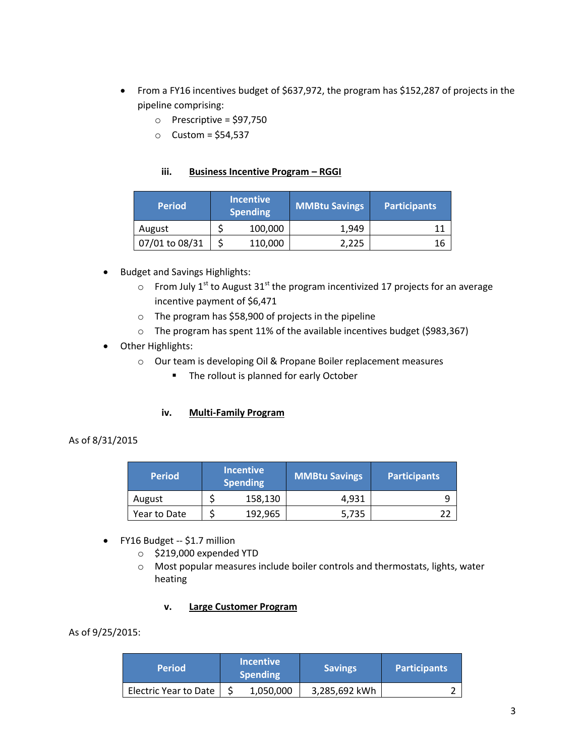- From a FY16 incentives budget of \$637,972, the program has \$152,287 of projects in the pipeline comprising:
	- $\circ$  Prescriptive = \$97,750
	- $O$  Custom = \$54,537

## **iii. Business Incentive Program – RGGI**

| <b>Period</b>  | <b>Incentive</b><br><b>Spending</b> | <b>MMBtu Savings</b> | <b>Participants</b> |
|----------------|-------------------------------------|----------------------|---------------------|
| August         | 100,000                             | 1.949                | 11                  |
| 07/01 to 08/31 | 110,000                             | 2.225                | 16                  |

- Budget and Savings Highlights:
	- $\circ$  From July 1<sup>st</sup> to August 31<sup>st</sup> the program incentivized 17 projects for an average incentive payment of \$6,471
	- o The program has \$58,900 of projects in the pipeline
	- o The program has spent 11% of the available incentives budget (\$983,367)
- Other Highlights:
	- o Our team is developing Oil & Propane Boiler replacement measures
		- **The rollout is planned for early October**

## **iv. Multi-Family Program**

#### As of 8/31/2015

| <b>Period</b> | <b>Incentive</b><br><b>Spending</b> | <b>MMBtu Savings</b> | <b>Participants</b> |
|---------------|-------------------------------------|----------------------|---------------------|
| August        | 158,130                             | 4,931                |                     |
| Year to Date  | 192,965                             | 5,735                |                     |

- FY16 Budget -- \$1.7 million
	- o \$219,000 expended YTD
	- o Most popular measures include boiler controls and thermostats, lights, water heating

#### **v. Large Customer Program**

As of 9/25/2015:

| <b>Period</b>                | <b>Incentive</b><br><b>Spending</b> |           | <b>Savings</b> | <b>Participants</b> |
|------------------------------|-------------------------------------|-----------|----------------|---------------------|
| <b>Electric Year to Date</b> |                                     | 1,050,000 | 3,285,692 kWh  |                     |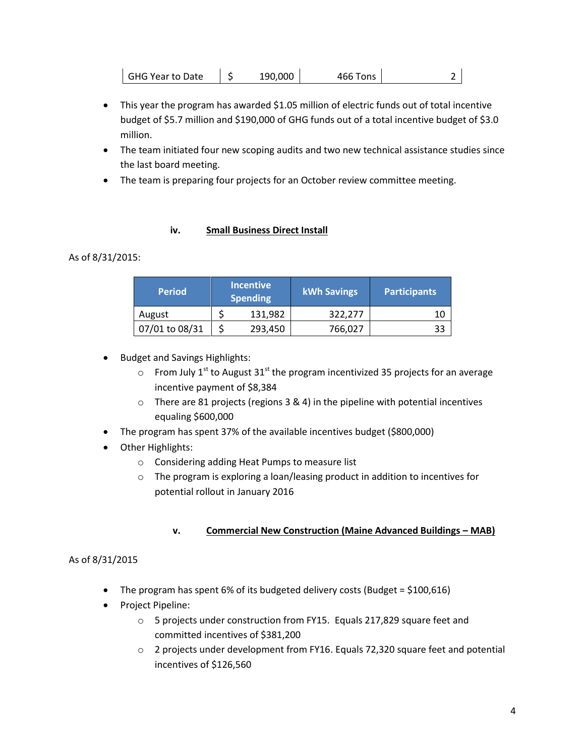| <b>GHG Year to Date</b> |  | 190,000 | 466 Tons |  |
|-------------------------|--|---------|----------|--|
|-------------------------|--|---------|----------|--|

- This year the program has awarded \$1.05 million of electric funds out of total incentive budget of \$5.7 million and \$190,000 of GHG funds out of a total incentive budget of \$3.0 million.
- The team initiated four new scoping audits and two new technical assistance studies since the last board meeting.
- The team is preparing four projects for an October review committee meeting.

### **iv. Small Business Direct Install**

## As of 8/31/2015:

| <b>Period</b>  | <b>Incentive</b><br><b>Spending</b> | <b>kWh Savings</b> | <b>Participants</b> |
|----------------|-------------------------------------|--------------------|---------------------|
| August         | 131,982                             | 322,277            |                     |
| 07/01 to 08/31 | 293,450                             | 766,027            |                     |

- Budget and Savings Highlights:
	- $\circ$  From July 1<sup>st</sup> to August 31<sup>st</sup> the program incentivized 35 projects for an average incentive payment of \$8,384
	- o There are 81 projects (regions 3 & 4) in the pipeline with potential incentives equaling \$600,000
- The program has spent 37% of the available incentives budget (\$800,000)
- Other Highlights:
	- o Considering adding Heat Pumps to measure list
	- o The program is exploring a loan/leasing product in addition to incentives for potential rollout in January 2016

## **v. Commercial New Construction (Maine Advanced Buildings – MAB)**

## As of 8/31/2015

- The program has spent 6% of its budgeted delivery costs (Budget = \$100,616)
- Project Pipeline:
	- o 5 projects under construction from FY15. Equals 217,829 square feet and committed incentives of \$381,200
	- $\circ$  2 projects under development from FY16. Equals 72,320 square feet and potential incentives of \$126,560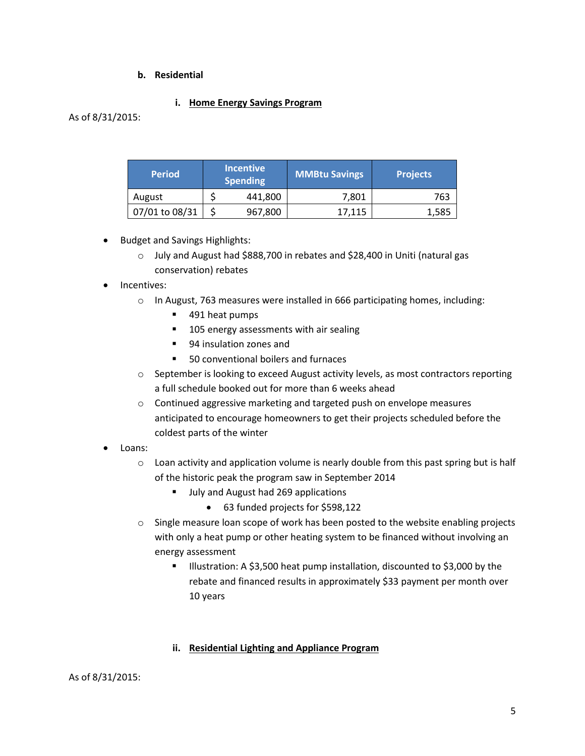#### **b. Residential**

### **i. Home Energy Savings Program**

As of 8/31/2015:

| <b>Period</b>  | <b>Incentive</b><br><b>Spending</b> | MMBtu Savings | <b>Projects</b> |
|----------------|-------------------------------------|---------------|-----------------|
| August         | 441,800                             | 7,801         | 763             |
| 07/01 to 08/31 | 967,800                             | 17,115        | 1,585           |

- Budget and Savings Highlights:
	- o July and August had \$888,700 in rebates and \$28,400 in Uniti (natural gas conservation) rebates

#### Incentives:

- o In August, 763 measures were installed in 666 participating homes, including:
	- 491 heat pumps
	- 105 energy assessments with air sealing
	- 94 insulation zones and
	- 50 conventional boilers and furnaces
- $\circ$  September is looking to exceed August activity levels, as most contractors reporting a full schedule booked out for more than 6 weeks ahead
- o Continued aggressive marketing and targeted push on envelope measures anticipated to encourage homeowners to get their projects scheduled before the coldest parts of the winter
- Loans:
	- $\circ$  Loan activity and application volume is nearly double from this past spring but is half of the historic peak the program saw in September 2014
		- Ully and August had 269 applications
			- 63 funded projects for \$598,122
	- $\circ$  Single measure loan scope of work has been posted to the website enabling projects with only a heat pump or other heating system to be financed without involving an energy assessment
		- Illustration: A \$3,500 heat pump installation, discounted to \$3,000 by the rebate and financed results in approximately \$33 payment per month over 10 years

## **ii. Residential Lighting and Appliance Program**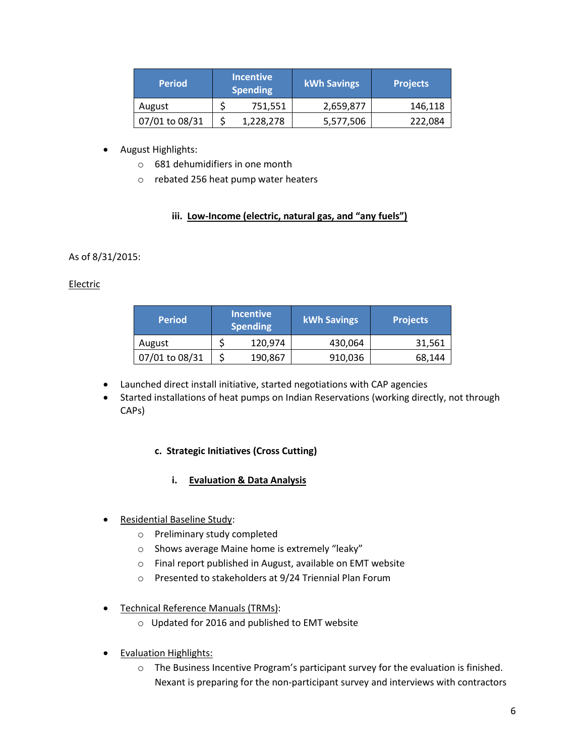| <b>Period</b>  | <b>Incentive</b><br><b>Spending</b> | <b>kWh Savings</b> | <b>Projects</b> |
|----------------|-------------------------------------|--------------------|-----------------|
| August         | 751,551                             | 2,659,877          | 146,118         |
| 07/01 to 08/31 | 1,228,278                           | 5,577,506          | 222,084         |

## August Highlights:

- o 681 dehumidifiers in one month
- o rebated 256 heat pump water heaters

## **iii. Low-Income (electric, natural gas, and "any fuels")**

# As of 8/31/2015:

## Electric

| <b>Period</b>  | Incentive<br><b>Spending</b> | <b>kWh Savings</b> | <b>Projects</b> |
|----------------|------------------------------|--------------------|-----------------|
| August         | 120,974                      | 430,064            | 31,561          |
| 07/01 to 08/31 | 190,867                      | 910,036            | 68,144          |

- Launched direct install initiative, started negotiations with CAP agencies
- Started installations of heat pumps on Indian Reservations (working directly, not through CAPs)

## **c. Strategic Initiatives (Cross Cutting)**

## **i. Evaluation & Data Analysis**

- Residential Baseline Study:
	- o Preliminary study completed
	- o Shows average Maine home is extremely "leaky"
	- o Final report published in August, available on EMT website
	- o Presented to stakeholders at 9/24 Triennial Plan Forum
- Technical Reference Manuals (TRMs):
	- o Updated for 2016 and published to EMT website
- Evaluation Highlights:
	- $\circ$  The Business Incentive Program's participant survey for the evaluation is finished. Nexant is preparing for the non-participant survey and interviews with contractors